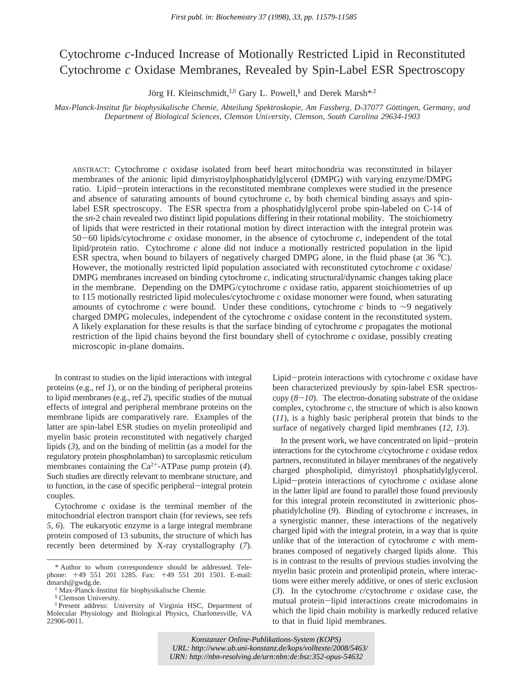# Cytochrome *c*-Induced Increase of Motionally Restricted Lipid in Reconstituted Cytochrome *c* Oxidase Membranes, Revealed by Spin-Label ESR Spectroscopy

Jörg H. Kleinschmidt,<sup>‡,||</sup> Gary L. Powell,<sup>§</sup> and Derek Marsh<sup>\*,‡</sup>

*Max-Planck-Institut fu*¨*r biophysikalische Chemie, Abteilung Spektroskopie, Am Fassberg, D-37077 Go*¨*ttingen, Germany, and Department of Biological Sciences, Clemson Uni*V*ersity, Clemson, South Carolina 29634-1903*

ABSTRACT: Cytochrome *c* oxidase isolated from beef heart mitochondria was reconstituted in bilayer membranes of the anionic lipid dimyristoylphosphatidylglycerol (DMPG) with varying enzyme/DMPG ratio. Lipid-protein interactions in the reconstituted membrane complexes were studied in the presence and absence of saturating amounts of bound cytochrome *c*, by both chemical binding assays and spinlabel ESR spectroscopy. The ESR spectra from a phosphatidylglycerol probe spin-labeled on C-14 of the *sn*-2 chain revealed two distinct lipid populations differing in their rotational mobility. The stoichiometry of lipids that were restricted in their rotational motion by direct interaction with the integral protein was <sup>50</sup>-60 lipids/cytochrome *<sup>c</sup>* oxidase monomer, in the absence of cytochrome *<sup>c</sup>*, independent of the total lipid/protein ratio. Cytochrome *c* alone did not induce a motionally restricted population in the lipid ESR spectra, when bound to bilayers of negatively charged DMPG alone, in the fluid phase (at 36 °C). However, the motionally restricted lipid population associated with reconstituted cytochrome *c* oxidase/ DMPG membranes increased on binding cytochrome *c*, indicating structural/dynamic changes taking place in the membrane. Depending on the DMPG/cytochrome *c* oxidase ratio, apparent stoichiometries of up to 115 motionally restricted lipid molecules/cytochrome *c* oxidase monomer were found, when saturating amounts of cytochrome *c* were bound. Under these conditions, cytochrome *c* binds to ∼9 negatively charged DMPG molecules, independent of the cytochrome *c* oxidase content in the reconstituted system. A likely explanation for these results is that the surface binding of cytochrome *c* propagates the motional restriction of the lipid chains beyond the first boundary shell of cytochrome *c* oxidase, possibly creating microscopic in-plane domains.

In contrast to studies on the lipid interactions with integral proteins (e.g., ref *1*), or on the binding of peripheral proteins to lipid membranes (e.g., ref *2*), specific studies of the mutual effects of integral and peripheral membrane proteins on the membrane lipids are comparatively rare. Examples of the latter are spin-label ESR studies on myelin proteolipid and myelin basic protein reconstituted with negatively charged lipids (*3*), and on the binding of melittin (as a model for the regulatory protein phospholamban) to sarcoplasmic reticulum membranes containing the Ca2+-ATPase pump protein (*4*). Such studies are directly relevant to membrane structure, and to function, in the case of specific peripheral-integral protein couples.

Cytochrome *c* oxidase is the terminal member of the mitochondrial electron transport chain (for reviews, see refs *5*, *6*). The eukaryotic enzyme is a large integral membrane protein composed of 13 subunits, the structure of which has recently been determined by X-ray crystallography (*7*).

§ Clemson University.

Lipid-protein interactions with cytochrome *<sup>c</sup>* oxidase have been characterized previously by spin-label ESR spectroscopy  $(8-10)$ . The electron-donating substrate of the oxidase complex, cytochrome *c*, the structure of which is also known (*11*), is a highly basic peripheral protein that binds to the surface of negatively charged lipid membranes (*12*, *13*).

In the present work, we have concentrated on lipid-protein interactions for the cytochrome *c*/cytochrome *c* oxidase redox partners, reconstituted in bilayer membranes of the negatively charged phospholipid, dimyristoyl phosphatidylglycerol. Lipid-protein interactions of cytochrome *<sup>c</sup>* oxidase alone in the latter lipid are found to parallel those found previously for this integral protein reconstituted in zwitterionic phosphatidylcholine (*9*). Binding of cytochrome *c* increases, in a synergistic manner, these interactions of the negatively charged lipid with the integral protein, in a way that is quite unlike that of the interaction of cytochrome *c* with membranes composed of negatively charged lipids alone. This is in contrast to the results of previous studies involving the myelin basic protein and proteolipid protein, where interactions were either merely additive, or ones of steric exclusion (*3*). In the cytochrome *c*/cytochrome *c* oxidase case, the mutual protein-lipid interactions create microdomains in which the lipid chain mobility is markedly reduced relative to that in fluid lipid membranes.

*Konstanzer Online-Publikations-System (KOPS) URL:<http://www.ub.uni-konstanz.de/kops/volltexte/2008/5463/> URN:<http://nbn-resolving.de/urn:nbn:de:bsz:352-opus-54632>*

<sup>\*</sup> Author to whom correspondence should be addressed. Telephone: +49 551 201 1285. Fax: +49 551 201 1501. E-mail: dmarsh@gwdg.de.

<sup>‡</sup> Max-Planck-Institut fu¨r biophysikalische Chemie.

<sup>|</sup> Present address: University of Virginia HSC, Department of Molecular Physiology and Biological Physics, Charlottesville, VA 22906-0011.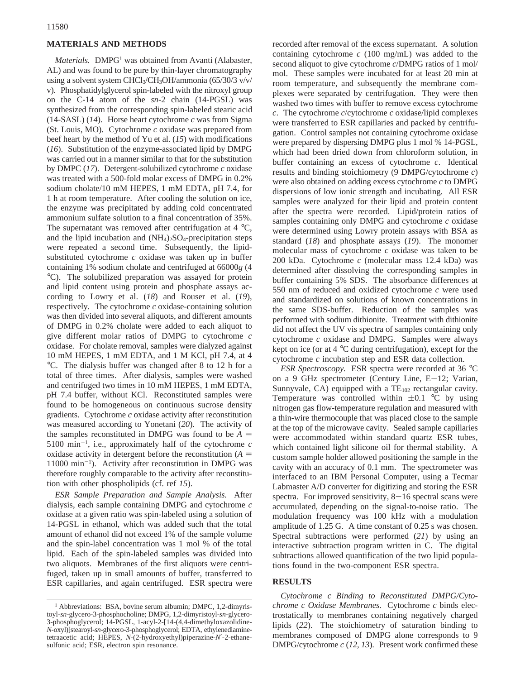## **MATERIALS AND METHODS**

*Materials.* DMPG<sup>1</sup> was obtained from Avanti (Alabaster, AL) and was found to be pure by thin-layer chromatography using a solvent system CHCl<sub>3</sub>/CH<sub>3</sub>OH/ammonia (65/30/3 v/v/ v). Phosphatidylglycerol spin-labeled with the nitroxyl group on the C-14 atom of the *sn*-2 chain (14-PGSL) was synthesized from the corresponding spin-labeled stearic acid (14-SASL) (*14*). Horse heart cytochrome *c* was from Sigma (St. Louis, MO). Cytochrome *c* oxidase was prepared from beef heart by the method of Yu et al. (*15*) with modifications (*16*). Substitution of the enzyme-associated lipid by DMPG was carried out in a manner similar to that for the substitution by DMPC (*17*). Detergent-solubilized cytochrome *c* oxidase was treated with a 500-fold molar excess of DMPG in 0.2% sodium cholate/10 mM HEPES, 1 mM EDTA, pH 7.4, for 1 h at room temperature. After cooling the solution on ice, the enzyme was precipitated by adding cold concentrated ammonium sulfate solution to a final concentration of 35%. The supernatant was removed after centrifugation at  $4 \text{ }^{\circ}\text{C}$ , and the lipid incubation and  $(NH<sub>4</sub>)<sub>2</sub>SO<sub>4</sub>$ -precipitation steps were repeated a second time. Subsequently, the lipidsubstituted cytochrome *c* oxidase was taken up in buffer containing 1% sodium cholate and centrifuged at 66000*g* (4 °C). The solubilized preparation was assayed for protein and lipid content using protein and phosphate assays according to Lowry et al. (*18*) and Rouser et al. (*19*), respectively. The cytochrome *c* oxidase-containing solution was then divided into several aliquots, and different amounts of DMPG in 0.2% cholate were added to each aliquot to give different molar ratios of DMPG to cytochrome *c* oxidase. For cholate removal, samples were dialyzed against 10 mM HEPES, 1 mM EDTA, and 1 M KCl, pH 7.4, at 4 °C. The dialysis buffer was changed after 8 to 12 h for a total of three times. After dialysis, samples were washed and centrifuged two times in 10 mM HEPES, 1 mM EDTA, pH 7.4 buffer, without KCl. Reconstituted samples were found to be homogeneous on continuous sucrose density gradients. Cytochrome *c* oxidase activity after reconstitution was measured according to Yonetani (*20*). The activity of the samples reconstituted in DMPG was found to be  $A =$ 5100 min-<sup>1</sup> , i.e., approximately half of the cytochrome *c* oxidase activity in detergent before the reconstitution  $(A =$ 11000 min-<sup>1</sup> ). Activity after reconstitution in DMPG was therefore roughly comparable to the activity after reconstitution with other phospholipids (cf. ref *15*).

*ESR Sample Preparation and Sample Analysis.* After dialysis, each sample containing DMPG and cytochrome *c* oxidase at a given ratio was spin-labeled using a solution of 14-PGSL in ethanol, which was added such that the total amount of ethanol did not exceed 1% of the sample volume and the spin-label concentration was 1 mol % of the total lipid. Each of the spin-labeled samples was divided into two aliquots. Membranes of the first aliquots were centrifuged, taken up in small amounts of buffer, transferred to ESR capillaries, and again centrifuged. ESR spectra were

recorded after removal of the excess supernatant. A solution containing cytochrome *c* (100 mg/mL) was added to the second aliquot to give cytochrome *c*/DMPG ratios of 1 mol/ mol. These samples were incubated for at least 20 min at room temperature, and subsequently the membrane complexes were separated by centrifugation. They were then washed two times with buffer to remove excess cytochrome *c*. The cytochrome *c*/cytochrome *c* oxidase/lipid complexes were transferred to ESR capillaries and packed by centrifugation. Control samples not containing cytochrome oxidase were prepared by dispersing DMPG plus 1 mol % 14-PGSL, which had been dried down from chloroform solution, in buffer containing an excess of cytochrome *c*. Identical results and binding stoichiometry (9 DMPG/cytochrome *c*) were also obtained on adding excess cytochrome *c* to DMPG dispersions of low ionic strength and incubating. All ESR samples were analyzed for their lipid and protein content after the spectra were recorded. Lipid/protein ratios of samples containing only DMPG and cytochrome *c* oxidase were determined using Lowry protein assays with BSA as standard (*18*) and phosphate assays (*19*). The monomer molecular mass of cytochrome *c* oxidase was taken to be 200 kDa. Cytochrome *c* (molecular mass 12.4 kDa) was determined after dissolving the corresponding samples in buffer containing 5% SDS. The absorbance differences at 550 nm of reduced and oxidized cytochrome *c* were used and standardized on solutions of known concentrations in the same SDS-buffer. Reduction of the samples was performed with sodium dithionite. Treatment with dithionite did not affect the UV vis spectra of samples containing only cytochrome *c* oxidase and DMPG. Samples were always kept on ice (or at 4 °C during centrifugation), except for the cytochrome *c* incubation step and ESR data collection.

*ESR Spectroscopy.* ESR spectra were recorded at 36 °C on a 9 GHz spectrometer (Century Line, E-12; Varian, Sunnyvale, CA) equipped with a  $TE_{102}$  rectangular cavity. Temperature was controlled within  $\pm 0.1$  °C by using nitrogen gas flow-temperature regulation and measured with a thin-wire thermocouple that was placed close to the sample at the top of the microwave cavity. Sealed sample capillaries were accommodated within standard quartz ESR tubes, which contained light silicone oil for thermal stability. A custom sample holder allowed positioning the sample in the cavity with an accuracy of 0.1 mm. The spectrometer was interfaced to an IBM Personal Computer, using a Tecmar Labmaster A/D converter for digitizing and storing the ESR spectra. For improved sensitivity,  $8-16$  spectral scans were accumulated, depending on the signal-to-noise ratio. The modulation frequency was 100 kHz with a modulation amplitude of 1.25 G. A time constant of 0.25 s was chosen. Spectral subtractions were performed (*21*) by using an interactive subtraction program written in C. The digital subtractions allowed quantification of the two lipid populations found in the two-component ESR spectra.

## **RESULTS**

*Cytochrome c Binding to Reconstituted DMPG/Cytochrome c Oxidase Membranes.* Cytochrome *c* binds electrostatically to membranes containing negatively charged lipids (*22*). The stoichiometry of saturation binding to membranes composed of DMPG alone corresponds to 9 DMPG/cytochrome *c* (*12*, *13*). Present work confirmed these

<sup>&</sup>lt;sup>1</sup> Abbreviations: BSA, bovine serum albumin; DMPC, 1,2-dimyristoyl-*sn*-glycero-3-phosphocholine; DMPG, 1,2-dimyristoyl-*sn*-glycero-3-phosphoglycerol; 14-PGSL, 1-acyl-2-[14-(4,4-dimethyloxazolidine-*N*-oxyl)]stearoyl-*sn*-glycero-3-phosphoglycerol; EDTA, ethylenediaminetetraacetic acid; HEPES, *N*-(2-hydroxyethyl)piperazine-*N*′-2-ethanesulfonic acid; ESR, electron spin resonance.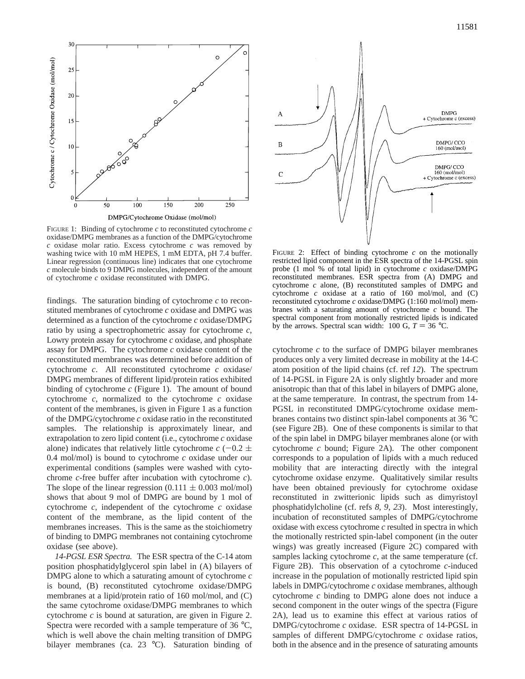

FIGURE 1: Binding of cytochrome *c* to reconstituted cytochrome *c* oxidase/DMPG membranes as a function of the DMPG/cytochrome *c* oxidase molar ratio. Excess cytochrome *c* was removed by washing twice with 10 mM HEPES, 1 mM EDTA, pH 7.4 buffer. Linear regression (continuous line) indicates that one cytochrome *c* molecule binds to 9 DMPG molecules, independent of the amount of cytochrome *c* oxidase reconstituted with DMPG.

findings. The saturation binding of cytochrome *c* to reconstituted membranes of cytochrome *c* oxidase and DMPG was determined as a function of the cytochrome *c* oxidase/DMPG ratio by using a spectrophometric assay for cytochrome *c*, Lowry protein assay for cytochrome *c* oxidase, and phosphate assay for DMPG. The cytochrome *c* oxidase content of the reconstituted membranes was determined before addition of cytochrome *c*. All reconstituted cytochrome *c* oxidase/ DMPG membranes of different lipid/protein ratios exhibited binding of cytochrome *c* (Figure 1). The amount of bound cytochrome *c*, normalized to the cytochrome *c* oxidase content of the membranes, is given in Figure 1 as a function of the DMPG/cytochrome *c* oxidase ratio in the reconstituted samples. The relationship is approximately linear, and extrapolation to zero lipid content (i.e., cytochrome *c* oxidase alone) indicates that relatively little cytochrome  $c$  (-0.2  $\pm$ 0.4 mol/mol) is bound to cytochrome *c* oxidase under our experimental conditions (samples were washed with cytochrome *c*-free buffer after incubation with cytochrome *c*). The slope of the linear regression  $(0.111 \pm 0.003 \text{ mol/mol})$ shows that about 9 mol of DMPG are bound by 1 mol of cytochrome *c*, independent of the cytochrome *c* oxidase content of the membrane, as the lipid content of the membranes increases. This is the same as the stoichiometry of binding to DMPG membranes not containing cytochrome oxidase (see above).

*14-PGSL ESR Spectra.* The ESR spectra of the C-14 atom position phosphatidylglycerol spin label in (A) bilayers of DMPG alone to which a saturating amount of cytochrome *c* is bound, (B) reconstituted cytochrome oxidase/DMPG membranes at a lipid/protein ratio of 160 mol/mol, and (C) the same cytochrome oxidase/DMPG membranes to which cytochrome *c* is bound at saturation, are given in Figure 2. Spectra were recorded with a sample temperature of 36 °C, which is well above the chain melting transition of DMPG bilayer membranes (ca. 23 °C). Saturation binding of



FIGURE 2: Effect of binding cytochrome *c* on the motionally restricted lipid component in the ESR spectra of the 14-PGSL spin probe (1 mol % of total lipid) in cytochrome *c* oxidase/DMPG reconstituted membranes. ESR spectra from (A) DMPG and cytochrome *c* alone, (B) reconstituted samples of DMPG and cytochrome *c* oxidase at a ratio of 160 mol/mol, and (C) reconstituted cytochrome *c* oxidase/DMPG (1:160 mol/mol) membranes with a saturating amount of cytochrome *c* bound. The spectral component from motionally restricted lipids is indicated by the arrows. Spectral scan width: 100 G,  $T = 36$  °C.

cytochrome *c* to the surface of DMPG bilayer membranes produces only a very limited decrease in mobility at the 14-C atom position of the lipid chains (cf. ref *12*). The spectrum of 14-PGSL in Figure 2A is only slightly broader and more anisotropic than that of this label in bilayers of DMPG alone, at the same temperature. In contrast, the spectrum from 14- PGSL in reconstituted DMPG/cytochrome oxidase membranes contains two distinct spin-label components at 36 °C (see Figure 2B). One of these components is similar to that of the spin label in DMPG bilayer membranes alone (or with cytochrome *c* bound; Figure 2A). The other component corresponds to a population of lipids with a much reduced mobility that are interacting directly with the integral cytochrome oxidase enzyme. Qualitatively similar results have been obtained previously for cytochrome oxidase reconstituted in zwitterionic lipids such as dimyristoyl phosphatidylcholine (cf. refs *8*, *9*, *23*). Most interestingly, incubation of reconstituted samples of DMPG/cytochrome oxidase with excess cytochrome *c* resulted in spectra in which the motionally restricted spin-label component (in the outer wings) was greatly increased (Figure 2C) compared with samples lacking cytochrome *c*, at the same temperature (cf. Figure 2B). This observation of a cytochrome *c*-induced increase in the population of motionally restricted lipid spin labels in DMPG/cytochrome *c* oxidase membranes, although cytochrome *c* binding to DMPG alone does not induce a second component in the outer wings of the spectra (Figure 2A), lead us to examine this effect at various ratios of DMPG/cytochrome *c* oxidase. ESR spectra of 14-PGSL in samples of different DMPG/cytochrome *c* oxidase ratios, both in the absence and in the presence of saturating amounts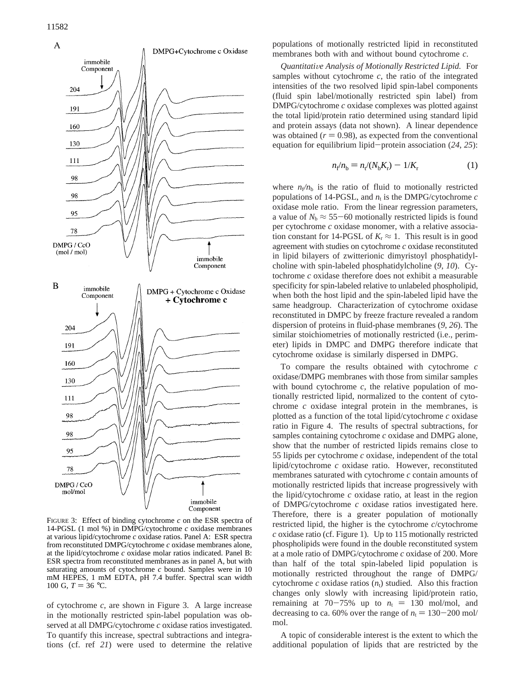

FIGURE 3: Effect of binding cytochrome *c* on the ESR spectra of 14-PGSL (1 mol %) in DMPG/cytochrome *c* oxidase membranes at various lipid/cytochrome *c* oxidase ratios. Panel A: ESR spectra from reconstituted DMPG/cytochrome *c* oxidase membranes alone, at the lipid/cytochrome *c* oxidase molar ratios indicated. Panel B: ESR spectra from reconstituted membranes as in panel A, but with saturating amounts of cytochrome *c* bound. Samples were in 10 mM HEPES, 1 mM EDTA, pH 7.4 buffer. Spectral scan width 100 G,  $T = 36$  °C.

of cytochrome *c*, are shown in Figure 3. A large increase in the motionally restricted spin-label population was observed at all DMPG/cytochrome *c* oxidase ratios investigated. To quantify this increase, spectral subtractions and integrations (cf. ref *21*) were used to determine the relative populations of motionally restricted lipid in reconstituted membranes both with and without bound cytochrome *c*.

*Quantitati*V*e Analysis of Motionally Restricted Lipid.* For samples without cytochrome *c*, the ratio of the integrated intensities of the two resolved lipid spin-label components (fluid spin label/motionally restricted spin label) from DMPG/cytochrome *c* oxidase complexes was plotted against the total lipid/protein ratio determined using standard lipid and protein assays (data not shown). A linear dependence was obtained  $(r = 0.98)$ , as expected from the conventional equation for equilibrium lipid-protein association (*24*, *<sup>25</sup>*):

$$
n_{\rm f}/n_{\rm b} = n_{\rm f}/(N_{\rm b}K_{\rm r}) - 1/K_{\rm r}
$$
 (1)

where  $n_f/n_b$  is the ratio of fluid to motionally restricted populations of 14-PGSL, and  $n_t$  is the DMPG/cytochrome  $c$ oxidase mole ratio. From the linear regression parameters, a value of  $N_b \approx 55-60$  motionally restricted lipids is found per cytochrome *c* oxidase monomer, with a relative association constant for 14-PGSL of  $K_r \approx 1$ . This result is in good agreement with studies on cytochrome *c* oxidase reconstituted in lipid bilayers of zwitterionic dimyristoyl phosphatidylcholine with spin-labeled phosphatidylcholine (*9*, *10*). Cytochrome *c* oxidase therefore does not exhibit a measurable specificity for spin-labeled relative to unlabeled phospholipid, when both the host lipid and the spin-labeled lipid have the same headgroup. Characterization of cytochrome oxidase reconstituted in DMPC by freeze fracture revealed a random dispersion of proteins in fluid-phase membranes (*9*, *26*). The similar stoichiometries of motionally restricted (i.e., perimeter) lipids in DMPC and DMPG therefore indicate that cytochrome oxidase is similarly dispersed in DMPG.

To compare the results obtained with cytochrome *c* oxidase/DMPG membranes with those from similar samples with bound cytochrome *c*, the relative population of motionally restricted lipid, normalized to the content of cytochrome *c* oxidase integral protein in the membranes, is plotted as a function of the total lipid/cytochrome *c* oxidase ratio in Figure 4. The results of spectral subtractions, for samples containing cytochrome *c* oxidase and DMPG alone, show that the number of restricted lipids remains close to 55 lipids per cytochrome *c* oxidase, independent of the total lipid/cytochrome *c* oxidase ratio. However, reconstituted membranes saturated with cytochrome *c* contain amounts of motionally restricted lipids that increase progressively with the lipid/cytochrome *c* oxidase ratio, at least in the region of DMPG/cytochrome *c* oxidase ratios investigated here. Therefore, there is a greater population of motionally restricted lipid, the higher is the cytochrome *c*/cytochrome *c* oxidase ratio (cf. Figure 1). Up to 115 motionally restricted phospholipids were found in the double reconstituted system at a mole ratio of DMPG/cytochrome *c* oxidase of 200. More than half of the total spin-labeled lipid population is motionally restricted throughout the range of DMPG/ cytochrome  $c$  oxidase ratios  $(n_t)$  studied. Also this fraction changes only slowly with increasing lipid/protein ratio, remaining at 70-75% up to  $n_t = 130$  mol/mol, and decreasing to ca. 60% over the range of  $n_t = 130 - 200$  mol/ mol.

A topic of considerable interest is the extent to which the additional population of lipids that are restricted by the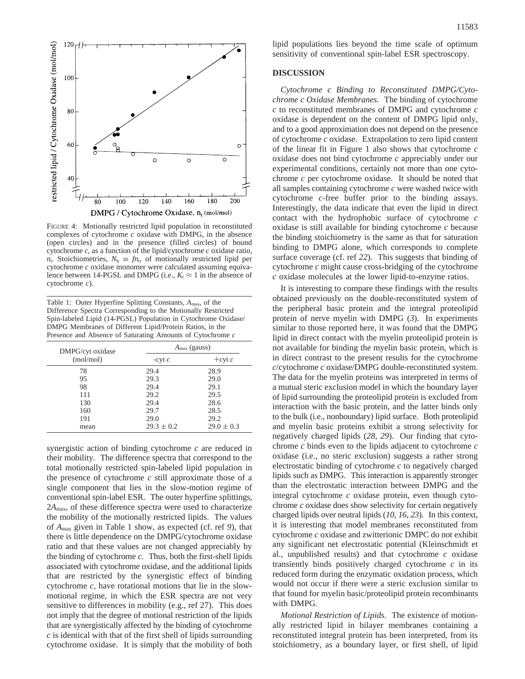

FIGURE 4: Motionally restricted lipid population in reconstituted complexes of cytochrome *c* oxidase with DMPG, in the absence (open circles) and in the presence (filled circles) of bound cytochrome *c*, as a function of the lipid/cytochrome *c* oxidase ratio,  $n_t$ . Stoichiometries,  $N_b \equiv f n_t$ , of motionally restricted lipid per cytochrome *c* oxidase monomer were calculated assuming equivalence between 14-PGSL and DMPG (i.e.,  $K_r \approx 1$  in the absence of cytochrome *c*).

Table 1: Outer Hyperfine Splitting Constants, *A*max, of the Difference Spectra Corresponding to the Motionally Restricted Spin-labeled Lipid (14-PGSL) Population in Cytochrome Oxidase/ DMPG Membranes of Different Lipid/Protein Ratios, in the Presence and Absence of Saturating Amounts of Cytochrome *c*

| DMPG/cyt oxidase<br>(mol/mol) | $A_{\text{max}}$ (gauss) |                |
|-------------------------------|--------------------------|----------------|
|                               | $-cyt$                   | $+$ cyt c      |
| 78                            | 29.4                     | 28.9           |
| 95                            | 29.3                     | 29.0           |
| 98                            | 29.4                     | 29.1           |
| 111                           | 29.2                     | 29.5           |
| 130                           | 29.4                     | 28.6           |
| 160                           | 29.7                     | 28.5           |
| 191                           | 29.0                     | 29.2           |
| mean                          | $29.3 \pm 0.2$           | $29.0 \pm 0.3$ |
|                               |                          |                |

synergistic action of binding cytochrome *c* are reduced in their mobility. The difference spectra that correspond to the total motionally restricted spin-labeled lipid population in the presence of cytochrome *c* still approximate those of a single component that lies in the slow-motion regime of conventional spin-label ESR. The outer hyperfine splittings, 2*A*max, of these difference spectra were used to characterize the mobility of the motionally restricted lipids. The values of *A*max given in Table 1 show, as expected (cf. ref *9*), that there is little dependence on the DMPG/cytochrome oxidase ratio and that these values are not changed appreciably by the binding of cytochrome *c*. Thus, both the first-shell lipids associated with cytochrome oxidase, and the additional lipids that are restricted by the synergistic effect of binding cytochrome *c*, have rotational motions that lie in the slowmotional regime, in which the ESR spectra are not very sensitive to differences in mobility (e.g., ref 27). This does not imply that the degree of motional restriction of the lipids that are synergistically affected by the binding of cytochrome *c* is identical with that of the first shell of lipids surrounding cytochrome oxidase. It is simply that the mobility of both

lipid populations lies beyond the time scale of optimum sensitivity of conventional spin-label ESR spectroscopy.

# **DISCUSSION**

*Cytochrome c Binding to Reconstituted DMPG/Cytochrome c Oxidase Membranes.* The binding of cytochrome *c* to reconstituted membranes of DMPG and cytochrome *c* oxidase is dependent on the content of DMPG lipid only, and to a good approximation does not depend on the presence of cytochrome *c* oxidase. Extrapolation to zero lipid content of the linear fit in Figure 1 also shows that cytochrome *c* oxidase does not bind cytochrome *c* appreciably under our experimental conditions, certainly not more than one cytochrome *c* per cytochrome oxidase. It should be noted that all samples containing cytochrome *c* were washed twice with cytochrome *c-*free buffer prior to the binding assays. Interestingly, the data indicate that even the lipid in direct contact with the hydrophobic surface of cytochrome *c* oxidase is still available for binding cytochrome *c* because the binding stoichiometry is the same as that for saturation binding to DMPG alone, which corresponds to complete surface coverage (cf. ref *22*). This suggests that binding of cytochrome *c* might cause cross-bridging of the cytochrome *c* oxidase molecules at the lower lipid-to-enzyme ratios.

It is interesting to compare these findings with the results obtained previously on the double-reconstituted system of the peripheral basic protein and the integral proteolipid protein of nerve myelin with DMPG (*3*). In experiments similar to those reported here, it was found that the DMPG lipid in direct contact with the myelin proteolipid protein is not available for binding the myelin basic protein, which is in direct contrast to the present results for the cytochrome *c*/cytochrome *c* oxidase/DMPG double-reconstituted system. The data for the myelin proteins was interpreted in terms of a mutual steric exclusion model in which the boundary layer of lipid surrounding the proteolipid protein is excluded from interaction with the basic protein, and the latter binds only to the bulk (i.e., nonboundary) lipid surface. Both proteolipid and myelin basic proteins exhibit a strong selectivity for negatively charged lipids (*28*, *29*). Our finding that cytochrome *c* binds even to the lipids adjacent to cytochrome *c* oxidase (i.e., no steric exclusion) suggests a rather strong electrostatic binding of cytochrome *c* to negatively charged lipids such as DMPG. This interaction is apparently stronger than the electrostatic interaction between DMPG and the integral cytochrome *c* oxidase protein, even though cytochrome *c* oxidase does show selectivity for certain negatively charged lipids over neutral lipids (*10*, *16*, *23*). In this context, it is interesting that model membranes reconstituted from cytochrome *c* oxidase and zwitterionic DMPC do not exhibit any significant net electrostatic potential (Kleinschmidt et al., unpublished results) and that cytochrome *c* oxidase transiently binds positively charged cytochrome *c* in its reduced form during the enzymatic oxidation process, which would not occur if there were a steric exclusion similar to that found for myelin basic/proteolipid protein recombinants with DMPG.

*Motional Restriction of Lipids.* The existence of motionally restricted lipid in bilayer membranes containing a reconstituted integral protein has been interpreted, from its stoichiometry, as a boundary layer, or first shell, of lipid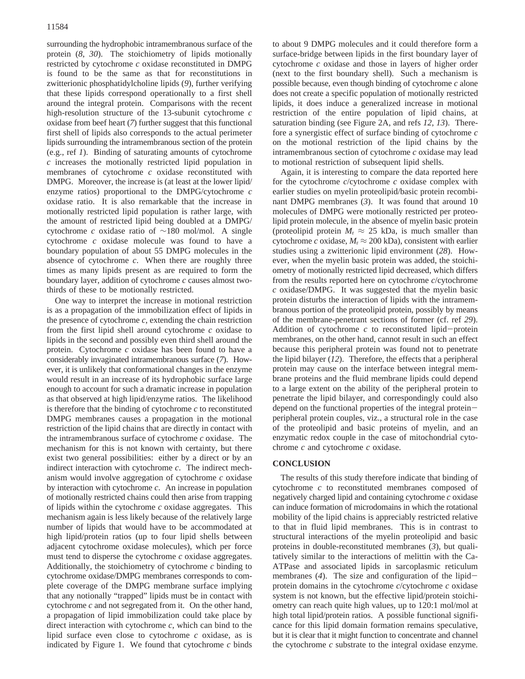surrounding the hydrophobic intramembranous surface of the protein (*8*, *30*). The stoichiometry of lipids motionally restricted by cytochrome *c* oxidase reconstituted in DMPG is found to be the same as that for reconstitutions in zwitterionic phosphatidylcholine lipids (*9*), further verifying that these lipids correspond operationally to a first shell around the integral protein. Comparisons with the recent high-resolution structure of the 13-subunit cytochrome *c* oxidase from beef heart (*7*) further suggest that this functional first shell of lipids also corresponds to the actual perimeter lipids surrounding the intramembranous section of the protein (e.g., ref *1*). Binding of saturating amounts of cytochrome *c* increases the motionally restricted lipid population in membranes of cytochrome *c* oxidase reconstituted with DMPG. Moreover, the increase is (at least at the lower lipid/ enzyme ratios) proportional to the DMPG/cytochrome *c* oxidase ratio. It is also remarkable that the increase in motionally restricted lipid population is rather large, with the amount of restricted lipid being doubled at a DMPG/ cytochrome *c* oxidase ratio of ∼180 mol/mol. A single cytochrome *c* oxidase molecule was found to have a boundary population of about 55 DMPG molecules in the absence of cytochrome *c*. When there are roughly three times as many lipids present as are required to form the boundary layer, addition of cytochrome *c* causes almost twothirds of these to be motionally restricted.

One way to interpret the increase in motional restriction is as a propagation of the immobilization effect of lipids in the presence of cytochrome *c*, extending the chain restriction from the first lipid shell around cytochrome *c* oxidase to lipids in the second and possibly even third shell around the protein. Cytochrome *c* oxidase has been found to have a considerably invaginated intramembranous surface (*7*). However, it is unlikely that conformational changes in the enzyme would result in an increase of its hydrophobic surface large enough to account for such a dramatic increase in population as that observed at high lipid/enzyme ratios. The likelihood is therefore that the binding of cytochrome *c* to reconstituted DMPG membranes causes a propagation in the motional restriction of the lipid chains that are directly in contact with the intramembranous surface of cytochrome *c* oxidase. The mechanism for this is not known with certainty, but there exist two general possibilities: either by a direct or by an indirect interaction with cytochrome *c*. The indirect mechanism would involve aggregation of cytochrome *c* oxidase by interaction with cytochrome *c*. An increase in population of motionally restricted chains could then arise from trapping of lipids within the cytochrome *c* oxidase aggregates. This mechanism again is less likely because of the relatively large number of lipids that would have to be accommodated at high lipid/protein ratios (up to four lipid shells between adjacent cytochrome oxidase molecules), which per force must tend to disperse the cytochrome *c* oxidase aggregates. Additionally, the stoichiometry of cytochrome *c* binding to cytochrome oxidase/DMPG membranes corresponds to complete coverage of the DMPG membrane surface implying that any notionally "trapped" lipids must be in contact with cytochrome *c* and not segregated from it. On the other hand, a propagation of lipid immobilization could take place by direct interaction with cytochrome *c*, which can bind to the lipid surface even close to cytochrome *c* oxidase, as is indicated by Figure 1. We found that cytochrome  $c$  binds

to about 9 DMPG molecules and it could therefore form a surface-bridge between lipids in the first boundary layer of cytochrome *c* oxidase and those in layers of higher order (next to the first boundary shell). Such a mechanism is possible because, even though binding of cytochrome *c* alone does not create a specific population of motionally restricted lipids, it does induce a generalized increase in motional restriction of the entire population of lipid chains, at saturation binding (see Figure 2A, and refs *12*, *13*). Therefore a synergistic effect of surface binding of cytochrome *c* on the motional restriction of the lipid chains by the intramembranous section of cytochrome *c* oxidase may lead to motional restriction of subsequent lipid shells.

Again, it is interesting to compare the data reported here for the cytochrome *c*/cytochrome *c* oxidase complex with earlier studies on myelin proteolipid/basic protein recombinant DMPG membranes (*3*). It was found that around 10 molecules of DMPG were motionally restricted per proteolipid protein molecule, in the absence of myelin basic protein (proteolipid protein  $M_r \approx 25$  kDa, is much smaller than cytochrome *c* oxidase,  $M_r \approx 200$  kDa), consistent with earlier studies using a zwitterionic lipid environment (*28*). However, when the myelin basic protein was added, the stoichiometry of motionally restricted lipid decreased, which differs from the results reported here on cytochrome *c*/cytochrome *c* oxidase/DMPG. It was suggested that the myelin basic protein disturbs the interaction of lipids with the intramembranous portion of the proteolipid protein, possibly by means of the membrane-penetrant sections of former (cf. ref *29*). Addition of cytochrome *<sup>c</sup>* to reconstituted lipid-protein membranes, on the other hand, cannot result in such an effect because this peripheral protein was found not to penetrate the lipid bilayer (*12*). Therefore, the effects that a peripheral protein may cause on the interface between integral membrane proteins and the fluid membrane lipids could depend to a large extent on the ability of the peripheral protein to penetrate the lipid bilayer, and correspondingly could also depend on the functional properties of the integral proteinperipheral protein couples, viz., a structural role in the case of the proteolipid and basic proteins of myelin, and an enzymatic redox couple in the case of mitochondrial cytochrome *c* and cytochrome *c* oxidase.

### **CONCLUSION**

The results of this study therefore indicate that binding of cytochrome *c* to reconstituted membranes composed of negatively charged lipid and containing cytochrome *c* oxidase can induce formation of microdomains in which the rotational mobility of the lipid chains is appreciably restricted relative to that in fluid lipid membranes. This is in contrast to structural interactions of the myelin proteolipid and basic proteins in double-reconstituted membranes (*3*), but qualitatively similar to the interactions of melittin with the Ca-ATPase and associated lipids in sarcoplasmic reticulum membranes (*4*). The size and configuration of the lipidprotein domains in the cytochrome *c*/cytochrome *c* oxidase system is not known, but the effective lipid/protein stoichiometry can reach quite high values, up to 120:1 mol/mol at high total lipid/protein ratios. A possible functional significance for this lipid domain formation remains speculative, but it is clear that it might function to concentrate and channel the cytochrome *c* substrate to the integral oxidase enzyme.